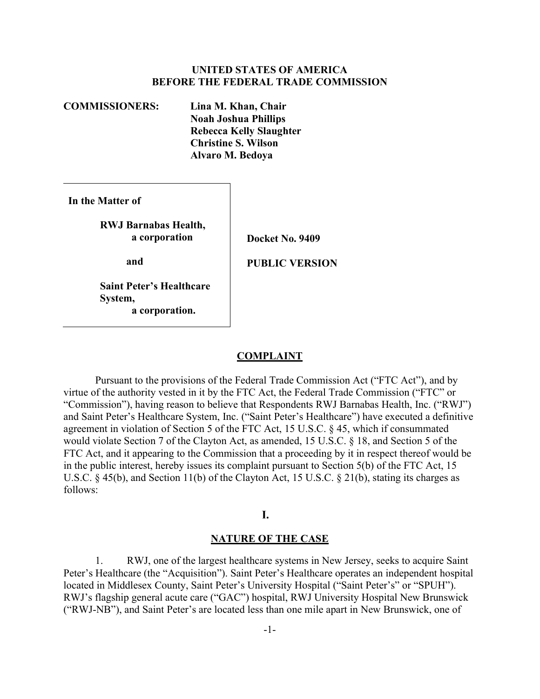# UNITED STATES OF AMERICA BEFORE THE FEDERAL TRADE COMMISSION

 COMMISSIONERS: Lina M. Khan, Chair Noah Joshua Phillips Rebecca Kelly Slaughter Christine S. Wilson Alvaro M. Bedoya

In the Matter of

 RWJ Barnabas Health, a corporation

and

Docket No. 9409

PUBLIC VERSION

 Saint Peter's Healthcare System, a corporation.

#### **COMPLAINT**

 Pursuant to the provisions of the Federal Trade Commission Act ("FTC Act"), and by virtue of the authority vested in it by the FTC Act, the Federal Trade Commission ("FTC" or "Commission"), having reason to believe that Respondents RWJ Barnabas Health, Inc. ("RWJ") and Saint Peter's Healthcare System, Inc. ("Saint Peter's Healthcare") have executed a definitive agreement in violation of Section 5 of the FTC Act, 15 U.S.C. § 45, which if consummated would violate Section 7 of the Clayton Act, as amended, 15 U.S.C. § 18, and Section 5 of the FTC Act, and it appearing to the Commission that a proceeding by it in respect thereof would be in the public interest, hereby issues its complaint pursuant to Section 5(b) of the FTC Act, 15 U.S.C. § 45(b), and Section 11(b) of the Clayton Act, 15 U.S.C. § 21(b), stating its charges as follows:

#### I.

#### NATURE OF THE CASE

 1. RWJ, one of the largest healthcare systems in New Jersey, seeks to acquire Saint Peter's Healthcare (the "Acquisition"). Saint Peter's Healthcare operates an independent hospital located in Middlesex County, Saint Peter's University Hospital ("Saint Peter's" or "SPUH"). RWJ's flagship general acute care ("GAC") hospital, RWJ University Hospital New Brunswick ("RWJ-NB"), and Saint Peter's are located less than one mile apart in New Brunswick, one of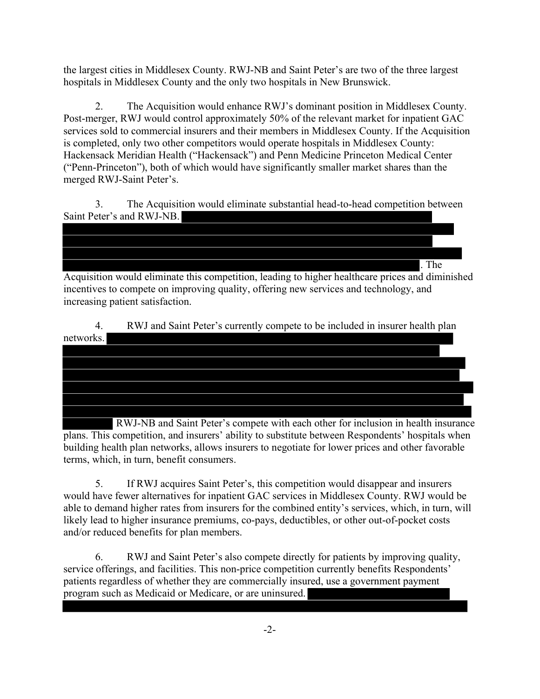the largest cities in Middlesex County. RWJ-NB and Saint Peter's are two of the three largest hospitals in Middlesex County and the only two hospitals in New Brunswick.

 is completed, only two other competitors would operate hospitals in Middlesex County: ("Penn-Princeton"), both of which would have significantly smaller market shares than the 2. The Acquisition would enhance RWJ's dominant position in Middlesex County. Post-merger, RWJ would control approximately 50% of the relevant market for inpatient GAC services sold to commercial insurers and their members in Middlesex County. If the Acquisition Hackensack Meridian Health ("Hackensack") and Penn Medicine Princeton Medical Center merged RWJ-Saint Peter's.

3. The Acquisition would eliminate substantial head-to-head competition between Saint Peter's and RWJ-NB.

. The Acquisition would eliminate this competition, leading to higher healthcare prices and diminished incentives to compete on improving quality, offering new services and technology, and increasing patient satisfaction.

4. RWJ and Saint Peter's currently compete to be included in insurer health plan networks.

 RWJ-NB and Saint Peter's compete with each other for inclusion in health insurance plans. This competition, and insurers' ability to substitute between Respondents' hospitals when building health plan networks, allows insurers to negotiate for lower prices and other favorable terms, which, in turn, benefit consumers.

 and/or reduced benefits for plan members. 5. If RWJ acquires Saint Peter's, this competition would disappear and insurers would have fewer alternatives for inpatient GAC services in Middlesex County. RWJ would be able to demand higher rates from insurers for the combined entity's services, which, in turn, will likely lead to higher insurance premiums, co-pays, deductibles, or other out-of-pocket costs

6. RWJ and Saint Peter's also compete directly for patients by improving quality, service offerings, and facilities. This non-price competition currently benefits Respondents' patients regardless of whether they are commercially insured, use a government payment program such as Medicaid or Medicare, or are uninsured.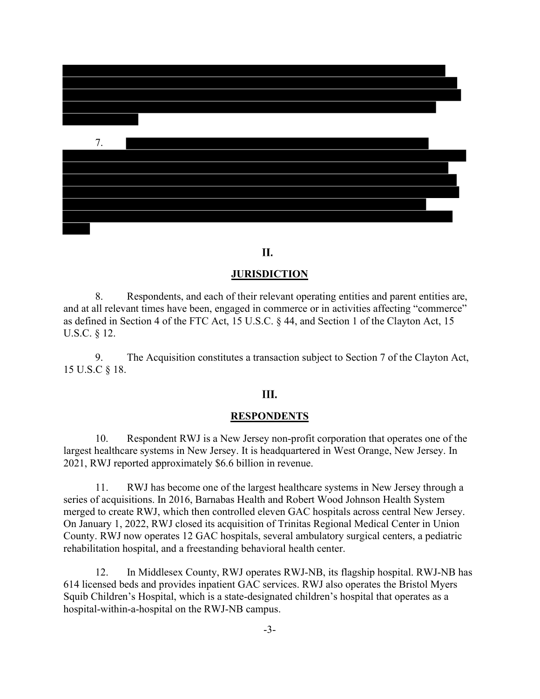

#### П.

#### **JURISDICTION**

 and at all relevant times have been, engaged in commerce or in activities affecting "commerce" 8. Respondents, and each of their relevant operating entities and parent entities are, as defined in Section 4 of the FTC Act, 15 U.S.C. § 44, and Section 1 of the Clayton Act, 15 U.S.C. § 12.

9. The Acquisition constitutes a transaction subject to Section 7 of the Clayton Act, 15 U.S.C § 18.

# Ш.

#### **RESPONDENTS**

10. Respondent RWJ is a New Jersey non-profit corporation that operates one of the largest healthcare systems in New Jersey. It is headquartered in West Orange, New Jersey. In 2021, RWJ reported approximately \$6.6 billion in revenue.

 11. RWJ has become one of the largest healthcare systems in New Jersey through a series of acquisitions. In 2016, Barnabas Health and Robert Wood Johnson Health System merged to create RWJ, which then controlled eleven GAC hospitals across central New Jersey. On January 1, 2022, RWJ closed its acquisition of Trinitas Regional Medical Center in Union County. RWJ now operates 12 GAC hospitals, several ambulatory surgical centers, a pediatric rehabilitation hospital, and a freestanding behavioral health center.

12. In Middlesex County, RWJ operates RWJ-NB, its flagship hospital. RWJ-NB has 614 licensed beds and provides inpatient GAC services. RWJ also operates the Bristol Myers Squib Children's Hospital, which is a state-designated children's hospital that operates as a hospital-within-a-hospital on the RWJ-NB campus.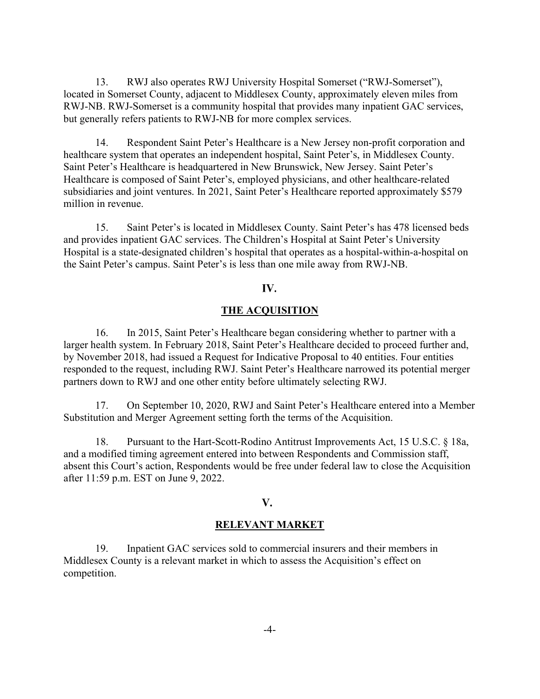13. RWJ also operates RWJ University Hospital Somerset ("RWJ-Somerset"), located in Somerset County, adjacent to Middlesex County, approximately eleven miles from RWJ-NB. RWJ-Somerset is a community hospital that provides many inpatient GAC services, but generally refers patients to RWJ-NB for more complex services.

 14. Respondent Saint Peter's Healthcare is a New Jersey non-profit corporation and healthcare system that operates an independent hospital, Saint Peter's, in Middlesex County. Saint Peter's Healthcare is headquartered in New Brunswick, New Jersey. Saint Peter's Healthcare is composed of Saint Peter's, employed physicians, and other healthcare-related subsidiaries and joint ventures. In 2021, Saint Peter's Healthcare reported approximately \$579 million in revenue.

 15. Saint Peter's is located in Middlesex County. Saint Peter's has 478 licensed beds and provides inpatient GAC services. The Children's Hospital at Saint Peter's University Hospital is a state-designated children's hospital that operates as a hospital-within-a-hospital on the Saint Peter's campus. Saint Peter's is less than one mile away from RWJ-NB.

# IV.

# THE ACQUISITION

 16. In 2015, Saint Peter's Healthcare began considering whether to partner with a larger health system. In February 2018, Saint Peter's Healthcare decided to proceed further and, by November 2018, had issued a Request for Indicative Proposal to 40 entities. Four entities responded to the request, including RWJ. Saint Peter's Healthcare narrowed its potential merger partners down to RWJ and one other entity before ultimately selecting RWJ.

 17. On September 10, 2020, RWJ and Saint Peter's Healthcare entered into a Member Substitution and Merger Agreement setting forth the terms of the Acquisition.

 18. Pursuant to the Hart-Scott-Rodino Antitrust Improvements Act, 15 U.S.C. § 18a, and a modified timing agreement entered into between Respondents and Commission staff, absent this Court's action, Respondents would be free under federal law to close the Acquisition after 11:59 p.m. EST on June 9, 2022.

#### V.

#### RELEVANT MARKET

 19. Inpatient GAC services sold to commercial insurers and their members in Middlesex County is a relevant market in which to assess the Acquisition's effect on competition.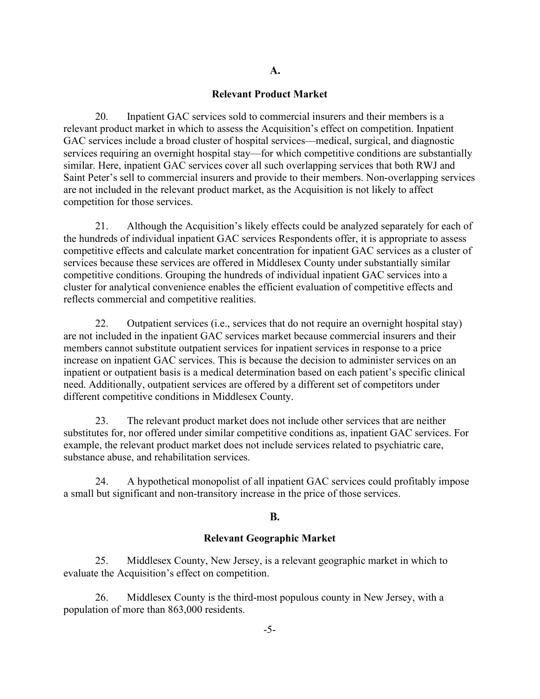#### Relevant Product Market

 20. Inpatient GAC services sold to commercial insurers and their members is a relevant product market in which to assess the Acquisition's effect on competition. Inpatient GAC services include a broad cluster of hospital services—medical, surgical, and diagnostic services requiring an overnight hospital stay—for which competitive conditions are substantially similar. Here, inpatient GAC services cover all such overlapping services that both RWJ and Saint Peter's sell to commercial insurers and provide to their members. Non-overlapping services are not included in the relevant product market, as the Acquisition is not likely to affect competition for those services.

 21. Although the Acquisition's likely effects could be analyzed separately for each of the hundreds of individual inpatient GAC services Respondents offer, it is appropriate to assess competitive effects and calculate market concentration for inpatient GAC services as a cluster of services because these services are offered in Middlesex County under substantially similar competitive conditions. Grouping the hundreds of individual inpatient GAC services into a cluster for analytical convenience enables the efficient evaluation of competitive effects and reflects commercial and competitive realities.

 22. Outpatient services (i.e., services that do not require an overnight hospital stay) are not included in the inpatient GAC services market because commercial insurers and their members cannot substitute outpatient services for inpatient services in response to a price increase on inpatient GAC services. This is because the decision to administer services on an inpatient or outpatient basis is a medical determination based on each patient's specific clinical need. Additionally, outpatient services are offered by a different set of competitors under different competitive conditions in Middlesex County.

 23. The relevant product market does not include other services that are neither substitutes for, nor offered under similar competitive conditions as, inpatient GAC services. For example, the relevant product market does not include services related to psychiatric care, substance abuse, and rehabilitation services.

 24. A hypothetical monopolist of all inpatient GAC services could profitably impose a small but significant and non-transitory increase in the price of those services.

#### **B.**

#### Relevant Geographic Market

 25. Middlesex County, New Jersey, is a relevant geographic market in which to evaluate the Acquisition's effect on competition.

 26. Middlesex County is the third-most populous county in New Jersey, with a population of more than 863,000 residents.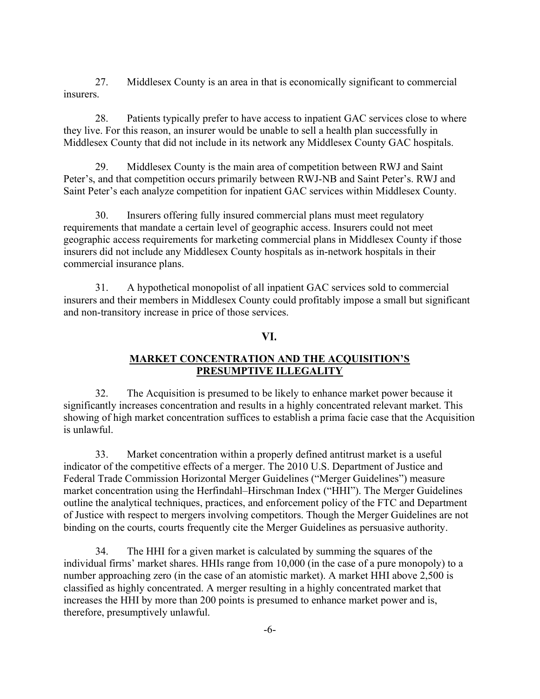27. Middlesex County is an area in that is economically significant to commercial insurers.

 28. Patients typically prefer to have access to inpatient GAC services close to where they live. For this reason, an insurer would be unable to sell a health plan successfully in Middlesex County that did not include in its network any Middlesex County GAC hospitals.

 29. Middlesex County is the main area of competition between RWJ and Saint Peter's, and that competition occurs primarily between RWJ-NB and Saint Peter's. RWJ and Saint Peter's each analyze competition for inpatient GAC services within Middlesex County.

 30. Insurers offering fully insured commercial plans must meet regulatory requirements that mandate a certain level of geographic access. Insurers could not meet geographic access requirements for marketing commercial plans in Middlesex County if those insurers did not include any Middlesex County hospitals as in-network hospitals in their commercial insurance plans.

 31. A hypothetical monopolist of all inpatient GAC services sold to commercial insurers and their members in Middlesex County could profitably impose a small but significant and non-transitory increase in price of those services.

# VI.

# MARKET CONCENTRATION AND THE ACQUISITION'S PRESUMPTIVE ILLEGALITY

 32. The Acquisition is presumed to be likely to enhance market power because it significantly increases concentration and results in a highly concentrated relevant market. This showing of high market concentration suffices to establish a prima facie case that the Acquisition is unlawful.

 33. Market concentration within a properly defined antitrust market is a useful indicator of the competitive effects of a merger. The 2010 U.S. Department of Justice and Federal Trade Commission Horizontal Merger Guidelines ("Merger Guidelines") measure market concentration using the Herfindahl–Hirschman Index ("HHI"). The Merger Guidelines outline the analytical techniques, practices, and enforcement policy of the FTC and Department of Justice with respect to mergers involving competitors. Though the Merger Guidelines are not binding on the courts, courts frequently cite the Merger Guidelines as persuasive authority.

 34. The HHI for a given market is calculated by summing the squares of the individual firms' market shares. HHIs range from 10,000 (in the case of a pure monopoly) to a number approaching zero (in the case of an atomistic market). A market HHI above 2,500 is classified as highly concentrated. A merger resulting in a highly concentrated market that increases the HHI by more than 200 points is presumed to enhance market power and is, therefore, presumptively unlawful.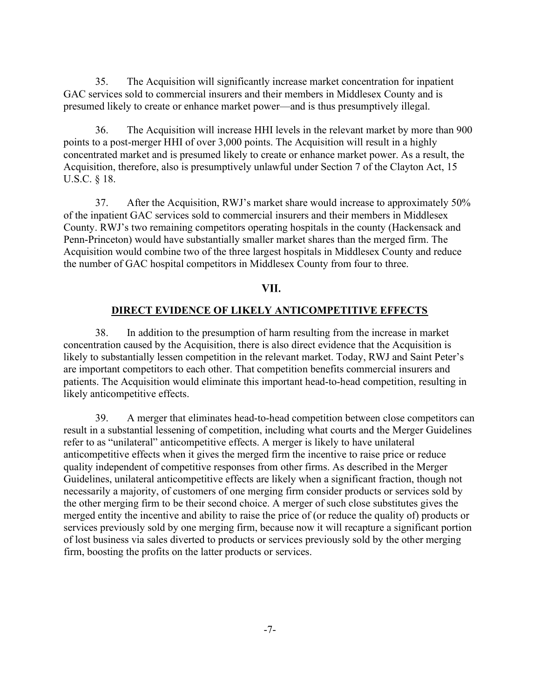35. The Acquisition will significantly increase market concentration for inpatient GAC services sold to commercial insurers and their members in Middlesex County and is presumed likely to create or enhance market power—and is thus presumptively illegal.

 36. The Acquisition will increase HHI levels in the relevant market by more than 900 points to a post-merger HHI of over 3,000 points. The Acquisition will result in a highly concentrated market and is presumed likely to create or enhance market power. As a result, the Acquisition, therefore, also is presumptively unlawful under Section 7 of the Clayton Act, 15 U.S.C. § 18.

 37. After the Acquisition, RWJ's market share would increase to approximately 50% of the inpatient GAC services sold to commercial insurers and their members in Middlesex County. RWJ's two remaining competitors operating hospitals in the county (Hackensack and Penn-Princeton) would have substantially smaller market shares than the merged firm. The Acquisition would combine two of the three largest hospitals in Middlesex County and reduce the number of GAC hospital competitors in Middlesex County from four to three.

#### VII.

#### DIRECT EVIDENCE OF LIKELY ANTICOMPETITIVE EFFECTS

 38. In addition to the presumption of harm resulting from the increase in market concentration caused by the Acquisition, there is also direct evidence that the Acquisition is likely to substantially lessen competition in the relevant market. Today, RWJ and Saint Peter's are important competitors to each other. That competition benefits commercial insurers and patients. The Acquisition would eliminate this important head-to-head competition, resulting in likely anticompetitive effects.

 39. A merger that eliminates head-to-head competition between close competitors can result in a substantial lessening of competition, including what courts and the Merger Guidelines refer to as "unilateral" anticompetitive effects. A merger is likely to have unilateral anticompetitive effects when it gives the merged firm the incentive to raise price or reduce quality independent of competitive responses from other firms. As described in the Merger Guidelines, unilateral anticompetitive effects are likely when a significant fraction, though not necessarily a majority, of customers of one merging firm consider products or services sold by the other merging firm to be their second choice. A merger of such close substitutes gives the merged entity the incentive and ability to raise the price of (or reduce the quality of) products or services previously sold by one merging firm, because now it will recapture a significant portion of lost business via sales diverted to products or services previously sold by the other merging firm, boosting the profits on the latter products or services.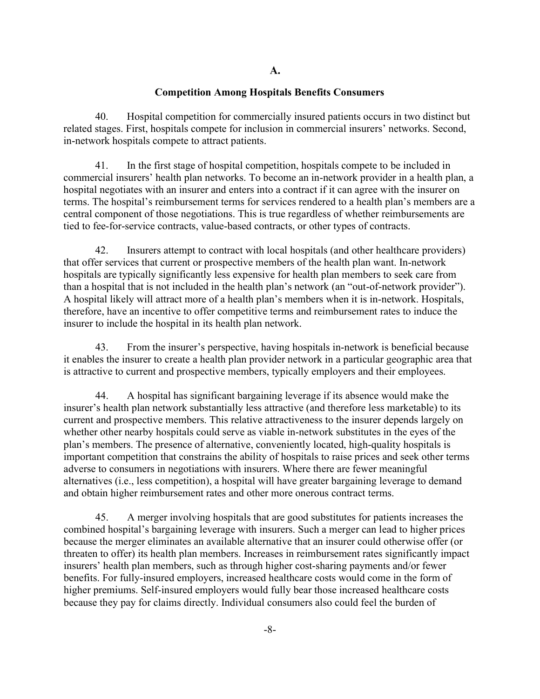## Competition Among Hospitals Benefits Consumers

 40. Hospital competition for commercially insured patients occurs in two distinct but related stages. First, hospitals compete for inclusion in commercial insurers' networks. Second, in-network hospitals compete to attract patients.

 41. In the first stage of hospital competition, hospitals compete to be included in commercial insurers' health plan networks. To become an in-network provider in a health plan, a hospital negotiates with an insurer and enters into a contract if it can agree with the insurer on terms. The hospital's reimbursement terms for services rendered to a health plan's members are a central component of those negotiations. This is true regardless of whether reimbursements are tied to fee-for-service contracts, value-based contracts, or other types of contracts.

 42. Insurers attempt to contract with local hospitals (and other healthcare providers) that offer services that current or prospective members of the health plan want. In-network hospitals are typically significantly less expensive for health plan members to seek care from than a hospital that is not included in the health plan's network (an "out-of-network provider"). A hospital likely will attract more of a health plan's members when it is in-network. Hospitals, therefore, have an incentive to offer competitive terms and reimbursement rates to induce the insurer to include the hospital in its health plan network.

 43. From the insurer's perspective, having hospitals in-network is beneficial because it enables the insurer to create a health plan provider network in a particular geographic area that is attractive to current and prospective members, typically employers and their employees.

 44. A hospital has significant bargaining leverage if its absence would make the insurer's health plan network substantially less attractive (and therefore less marketable) to its current and prospective members. This relative attractiveness to the insurer depends largely on whether other nearby hospitals could serve as viable in-network substitutes in the eyes of the plan's members. The presence of alternative, conveniently located, high-quality hospitals is important competition that constrains the ability of hospitals to raise prices and seek other terms adverse to consumers in negotiations with insurers. Where there are fewer meaningful alternatives (i.e., less competition), a hospital will have greater bargaining leverage to demand and obtain higher reimbursement rates and other more onerous contract terms.

 45. A merger involving hospitals that are good substitutes for patients increases the combined hospital's bargaining leverage with insurers. Such a merger can lead to higher prices because the merger eliminates an available alternative that an insurer could otherwise offer (or threaten to offer) its health plan members. Increases in reimbursement rates significantly impact insurers' health plan members, such as through higher cost-sharing payments and/or fewer benefits. For fully-insured employers, increased healthcare costs would come in the form of higher premiums. Self-insured employers would fully bear those increased healthcare costs because they pay for claims directly. Individual consumers also could feel the burden of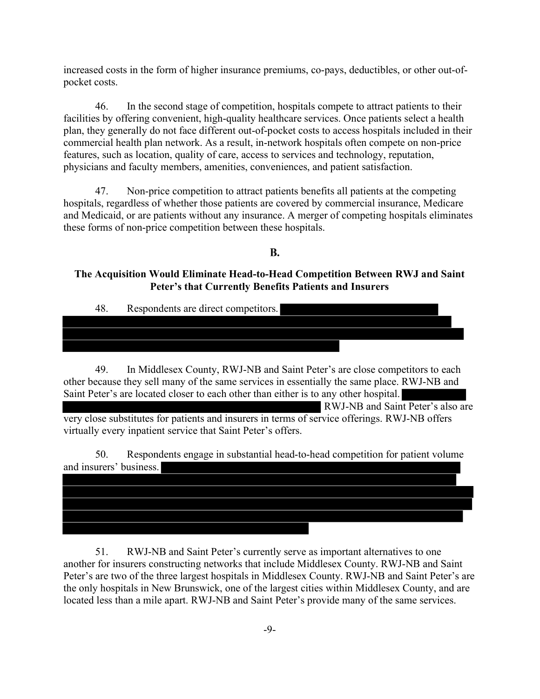increased costs in the form of higher insurance premiums, co-pays, deductibles, or other out-ofpocket costs.

46. In the second stage of competition, hospitals compete to attract patients to their facilities by offering convenient, high-quality healthcare services. Once patients select a health plan, they generally do not face different out-of-pocket costs to access hospitals included in their commercial health plan network. As a result, in-network hospitals often compete on non-price features, such as location, quality of care, access to services and technology, reputation, physicians and faculty members, amenities, conveniences, and patient satisfaction.

47. Non-price competition to attract patients benefits all patients at the competing hospitals, regardless of whether those patients are covered by commercial insurance, Medicare and Medicaid, or are patients without any insurance. A merger of competing hospitals eliminates these forms of non-price competition between these hospitals.

# **B.**

# The Acquisition Would Eliminate Head-to-Head Competition Between RWJ and Saint Peter's that Currently Benefits Patients and Insurers

| 48. | Respondents are direct competitors. |
|-----|-------------------------------------|
|-----|-------------------------------------|

49. In Middlesex County, RWJ-NB and Saint Peter's are close competitors to each other because they sell many of the same services in essentially the same place. RWJ-NB and Saint Peter's are located closer to each other than either is to any other hospital.

 virtually every inpatient service that Saint Peter's offers. RWJ-NB and Saint Peter's also are very close substitutes for patients and insurers in terms of service offerings. RWJ-NB offers

50. Respondents engage in substantial head-to-head competition for patient volume and insurers' business.

 located less than a mile apart. RWJ-NB and Saint Peter's provide many of the same services. 51. RWJ-NB and Saint Peter's currently serve as important alternatives to one another for insurers constructing networks that include Middlesex County. RWJ-NB and Saint Peter's are two of the three largest hospitals in Middlesex County. RWJ-NB and Saint Peter's are the only hospitals in New Brunswick, one of the largest cities within Middlesex County, and are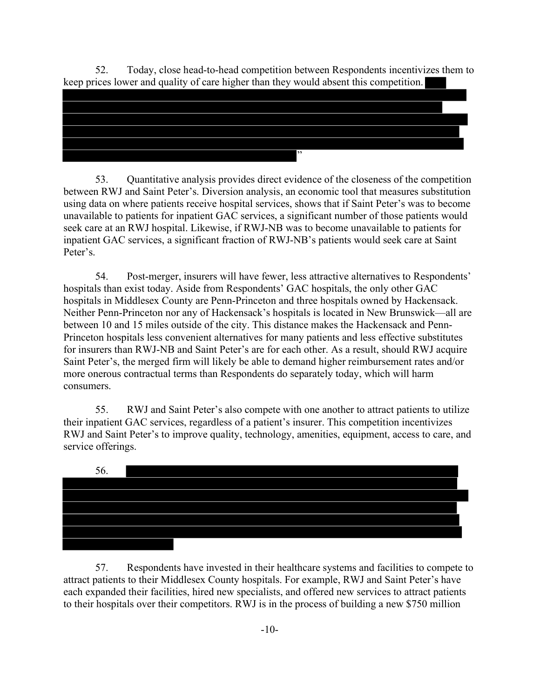52. Today, close head-to-head competition between Respondents incentivizes them to keep prices lower and quality of care higher than they would absent this competition.



53. Quantitative analysis provides direct evidence of the closeness of the competition between RWJ and Saint Peter's. Diversion analysis, an economic tool that measures substitution using data on where patients receive hospital services, shows that if Saint Peter's was to become unavailable to patients for inpatient GAC services, a significant number of those patients would seek care at an RWJ hospital. Likewise, if RWJ-NB was to become unavailable to patients for inpatient GAC services, a significant fraction of RWJ-NB's patients would seek care at Saint Peter's.

54. Post-merger, insurers will have fewer, less attractive alternatives to Respondents' hospitals than exist today. Aside from Respondents' GAC hospitals, the only other GAC hospitals in Middlesex County are Penn-Princeton and three hospitals owned by Hackensack. Neither Penn-Princeton nor any of Hackensack's hospitals is located in New Brunswick—all are between 10 and 15 miles outside of the city. This distance makes the Hackensack and Penn-Princeton hospitals less convenient alternatives for many patients and less effective substitutes for insurers than RWJ-NB and Saint Peter's are for each other. As a result, should RWJ acquire Saint Peter's, the merged firm will likely be able to demand higher reimbursement rates and/or more onerous contractual terms than Respondents do separately today, which will harm consumers.

55. RWJ and Saint Peter's also compete with one another to attract patients to utilize their inpatient GAC services, regardless of a patient's insurer. This competition incentivizes RWJ and Saint Peter's to improve quality, technology, amenities, equipment, access to care, and service offerings.



 57. Respondents have invested in their healthcare systems and facilities to compete to attract patients to their Middlesex County hospitals. For example, RWJ and Saint Peter's have each expanded their facilities, hired new specialists, and offered new services to attract patients to their hospitals over their competitors. RWJ is in the process of building a new \$750 million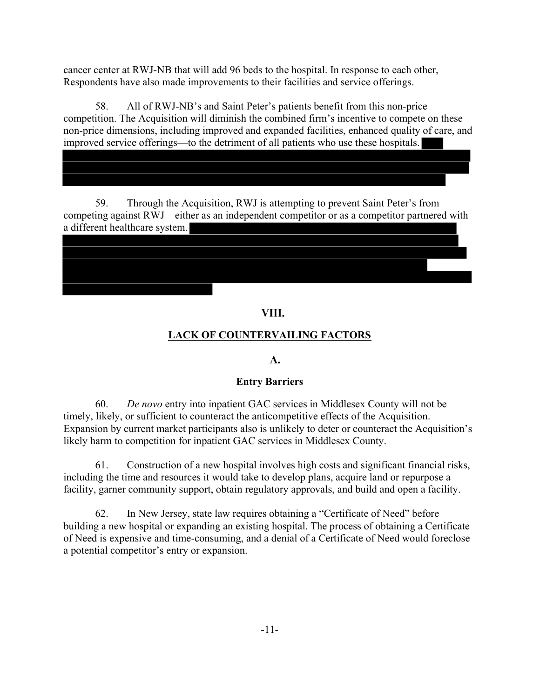cancer center at RWJ-NB that will add 96 beds to the hospital. In response to each other, Respondents have also made improvements to their facilities and service offerings.

58. All of RWJ-NB's and Saint Peter's patients benefit from this non-price competition. The Acquisition will diminish the combined firm's incentive to compete on these non-price dimensions, including improved and expanded facilities, enhanced quality of care, and improved service offerings—to the detriment of all patients who use these hospitals.

59. Through the Acquisition, RWJ is attempting to prevent Saint Peter's from competing against RWJ—either as an independent competitor or as a competitor partnered with a different healthcare system.

# VIII.

# LACK OF COUNTERVAILING FACTORS

# A.

# Entry Barriers

60. De novo entry into inpatient GAC services in Middlesex County will not be timely, likely, or sufficient to counteract the anticompetitive effects of the Acquisition. Expansion by current market participants also is unlikely to deter or counteract the Acquisition's likely harm to competition for inpatient GAC services in Middlesex County.

 including the time and resources it would take to develop plans, acquire land or repurpose a 61. Construction of a new hospital involves high costs and significant financial risks, facility, garner community support, obtain regulatory approvals, and build and open a facility.

 62. In New Jersey, state law requires obtaining a "Certificate of Need" before building a new hospital or expanding an existing hospital. The process of obtaining a Certificate of Need is expensive and time-consuming, and a denial of a Certificate of Need would foreclose a potential competitor's entry or expansion.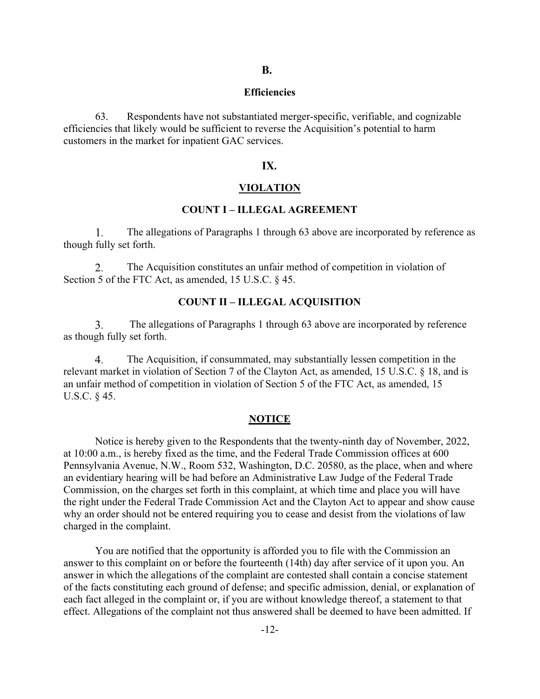#### Efficiencies

 63. Respondents have not substantiated merger-specific, verifiable, and cognizable efficiencies that likely would be sufficient to reverse the Acquisition's potential to harm customers in the market for inpatient GAC services.

#### IX.

#### VIOLATION

#### COUNT I – ILLEGAL AGREEMENT

1. The allegations of Paragraphs 1 through 63 above are incorporated by reference as though fully set forth.

2. The Acquisition constitutes an unfair method of competition in violation of Section 5 of the FTC Act, as amended, 15 U.S.C. § 45.

### COUNT II – ILLEGAL ACQUISITION

3. The allegations of Paragraphs 1 through 63 above are incorporated by reference as though fully set forth.

 The Acquisition, if consummated, may substantially lessen competition in the 4. relevant market in violation of Section 7 of the Clayton Act, as amended, 15 U.S.C. § 18, and is an unfair method of competition in violation of Section 5 of the FTC Act, as amended, 15 U.S.C. § 45.

#### NOTICE

 Notice is hereby given to the Respondents that the twenty-ninth day of November, 2022, at 10:00 a.m., is hereby fixed as the time, and the Federal Trade Commission offices at 600 Pennsylvania Avenue, N.W., Room 532, Washington, D.C. 20580, as the place, when and where an evidentiary hearing will be had before an Administrative Law Judge of the Federal Trade Commission, on the charges set forth in this complaint, at which time and place you will have the right under the Federal Trade Commission Act and the Clayton Act to appear and show cause why an order should not be entered requiring you to cease and desist from the violations of law charged in the complaint.

 You are notified that the opportunity is afforded you to file with the Commission an answer to this complaint on or before the fourteenth (14th) day after service of it upon you. An answer in which the allegations of the complaint are contested shall contain a concise statement of the facts constituting each ground of defense; and specific admission, denial, or explanation of each fact alleged in the complaint or, if you are without knowledge thereof, a statement to that effect. Allegations of the complaint not thus answered shall be deemed to have been admitted. If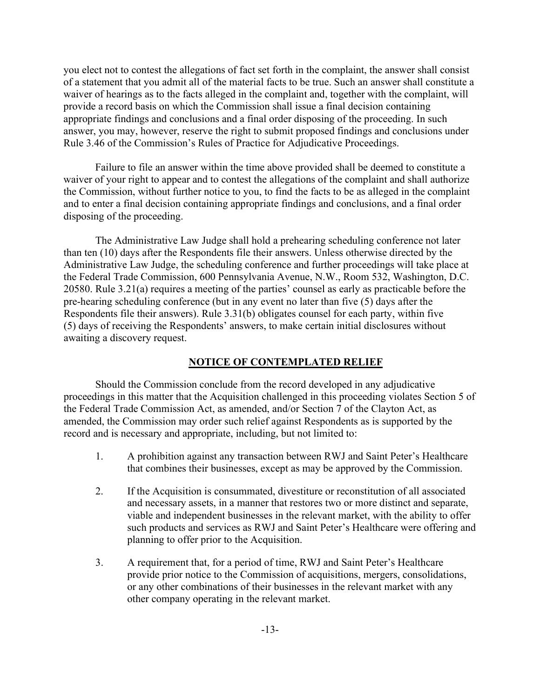you elect not to contest the allegations of fact set forth in the complaint, the answer shall consist of a statement that you admit all of the material facts to be true. Such an answer shall constitute a waiver of hearings as to the facts alleged in the complaint and, together with the complaint, will provide a record basis on which the Commission shall issue a final decision containing appropriate findings and conclusions and a final order disposing of the proceeding. In such answer, you may, however, reserve the right to submit proposed findings and conclusions under Rule 3.46 of the Commission's Rules of Practice for Adjudicative Proceedings.

 Failure to file an answer within the time above provided shall be deemed to constitute a waiver of your right to appear and to contest the allegations of the complaint and shall authorize the Commission, without further notice to you, to find the facts to be as alleged in the complaint and to enter a final decision containing appropriate findings and conclusions, and a final order disposing of the proceeding.

 The Administrative Law Judge shall hold a prehearing scheduling conference not later than ten (10) days after the Respondents file their answers. Unless otherwise directed by the Administrative Law Judge, the scheduling conference and further proceedings will take place at the Federal Trade Commission, 600 Pennsylvania Avenue, N.W., Room 532, Washington, D.C. 20580. Rule 3.21(a) requires a meeting of the parties' counsel as early as practicable before the pre-hearing scheduling conference (but in any event no later than five (5) days after the Respondents file their answers). Rule 3.31(b) obligates counsel for each party, within five (5) days of receiving the Respondents' answers, to make certain initial disclosures without awaiting a discovery request.

#### NOTICE OF CONTEMPLATED RELIEF

 Should the Commission conclude from the record developed in any adjudicative proceedings in this matter that the Acquisition challenged in this proceeding violates Section 5 of the Federal Trade Commission Act, as amended, and/or Section 7 of the Clayton Act, as amended, the Commission may order such relief against Respondents as is supported by the record and is necessary and appropriate, including, but not limited to:

- 1. A prohibition against any transaction between RWJ and Saint Peter's Healthcare that combines their businesses, except as may be approved by the Commission.
- 2. If the Acquisition is consummated, divestiture or reconstitution of all associated and necessary assets, in a manner that restores two or more distinct and separate, viable and independent businesses in the relevant market, with the ability to offer such products and services as RWJ and Saint Peter's Healthcare were offering and planning to offer prior to the Acquisition.
- 3. A requirement that, for a period of time, RWJ and Saint Peter's Healthcare provide prior notice to the Commission of acquisitions, mergers, consolidations, or any other combinations of their businesses in the relevant market with any other company operating in the relevant market.